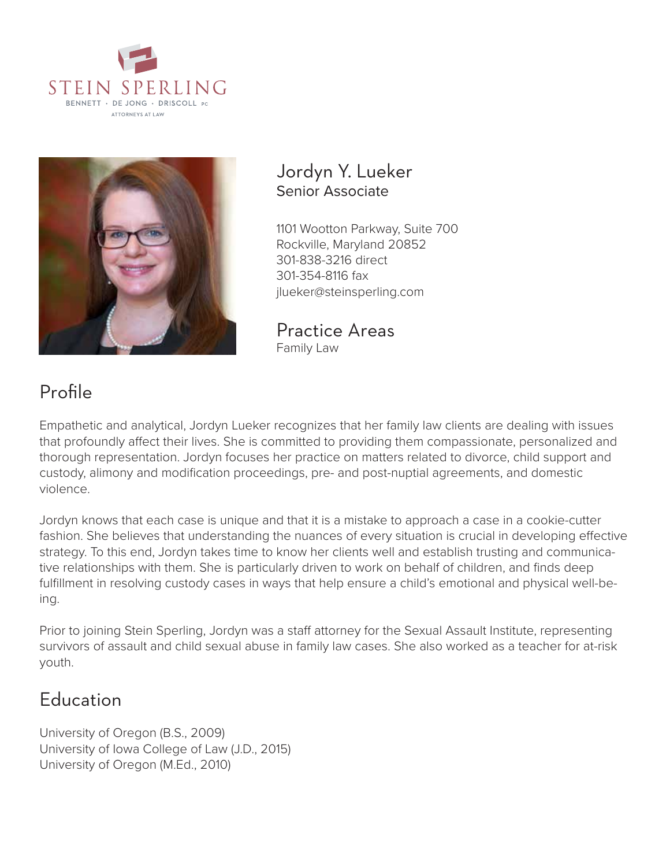



### Jordyn Y. Lueker Senior Associate

1101 Wootton Parkway, Suite 700 Rockville, Maryland 20852 301-838-3216 direct 301-354-8116 fax jlueker@steinsperling.com

Practice Areas Family Law

# Profile

Empathetic and analytical, Jordyn Lueker recognizes that her family law clients are dealing with issues that profoundly affect their lives. She is committed to providing them compassionate, personalized and thorough representation. Jordyn focuses her practice on matters related to divorce, child support and custody, alimony and modification proceedings, pre- and post-nuptial agreements, and domestic violence.

Jordyn knows that each case is unique and that it is a mistake to approach a case in a cookie-cutter fashion. She believes that understanding the nuances of every situation is crucial in developing effective strategy. To this end, Jordyn takes time to know her clients well and establish trusting and communicative relationships with them. She is particularly driven to work on behalf of children, and finds deep fulfillment in resolving custody cases in ways that help ensure a child's emotional and physical well-being.

Prior to joining Stein Sperling, Jordyn was a staff attorney for the Sexual Assault Institute, representing survivors of assault and child sexual abuse in family law cases. She also worked as a teacher for at-risk youth.

## Education

University of Oregon (B.S., 2009) University of Iowa College of Law (J.D., 2015) University of Oregon (M.Ed., 2010)